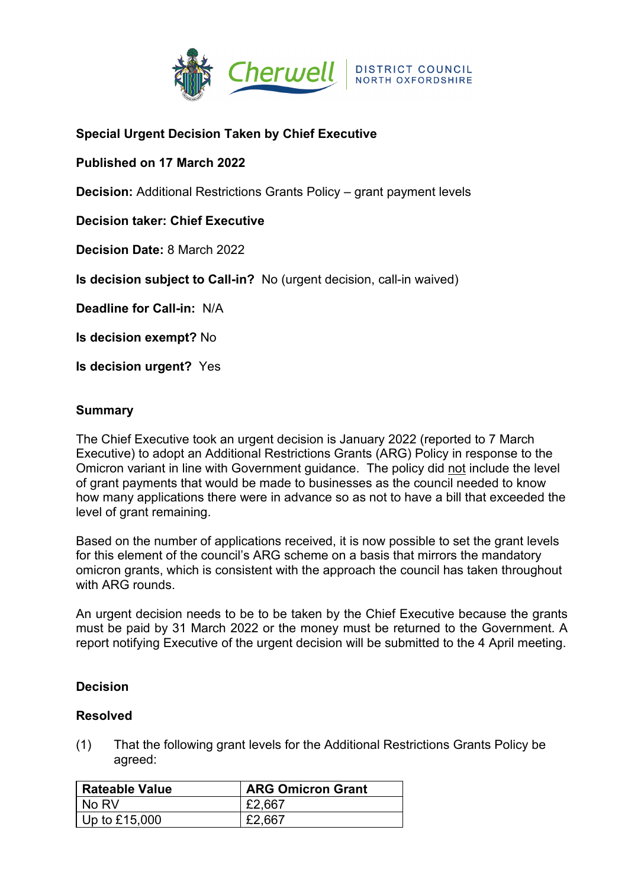

# **Special Urgent Decision Taken by Chief Executive**

## **Published on 17 March 2022**

**Decision:** Additional Restrictions Grants Policy – grant payment levels

**Decision taker: Chief Executive**

**Decision Date:** 8 March 2022

**Is decision subject to Call-in?** No (urgent decision, call-in waived)

**Deadline for Call-in:** N/A

**Is decision exempt?** No

**Is decision urgent?** Yes

#### **Summary**

The Chief Executive took an urgent decision is January 2022 (reported to 7 March Executive) to adopt an Additional Restrictions Grants (ARG) Policy in response to the Omicron variant in line with Government guidance. The policy did not include the level of grant payments that would be made to businesses as the council needed to know how many applications there were in advance so as not to have a bill that exceeded the level of grant remaining.

Based on the number of applications received, it is now possible to set the grant levels for this element of the council's ARG scheme on a basis that mirrors the mandatory omicron grants, which is consistent with the approach the council has taken throughout with ARG rounds.

An urgent decision needs to be to be taken by the Chief Executive because the grants must be paid by 31 March 2022 or the money must be returned to the Government. A report notifying Executive of the urgent decision will be submitted to the 4 April meeting.

### **Decision**

### **Resolved**

(1) That the following grant levels for the Additional Restrictions Grants Policy be agreed:

| <b>Rateable Value</b> | <b>ARG Omicron Grant</b> |
|-----------------------|--------------------------|
| l No RV               | £2,667                   |
| $ $ Up to £15,000     | £2,667                   |